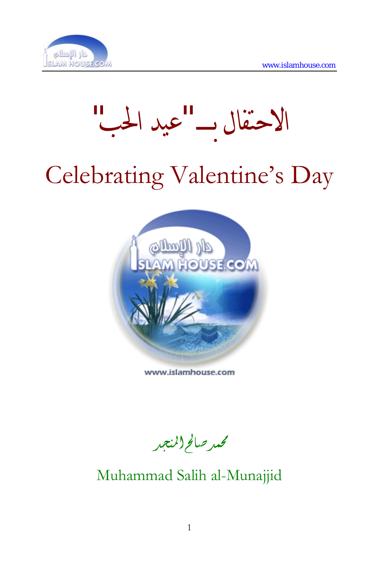



# Celebrating Valentine's Day



www.islamhouse.com

محمد صالح(المنجد

Muhammad Salih al-Munajjid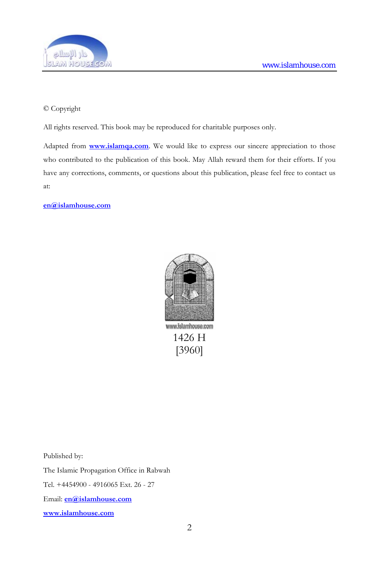

#### © Copyright

All rights reserved. This book may be reproduced for charitable purposes only.

Adapted from **[www.islamqa.com](http://www.islamqa.com/)**. We would like to express our sincere appreciation to those who contributed to the publication of this book. May Allah reward them for their efforts. If you have any corrections, comments, or questions about this publication, please feel free to contact us at:

**[en@islamhouse.com](mailto:en@islamhouse.com?subject=Comments%20about%20book%20%22en3925%22)**



1426 H [3960]

Published by:

The Islamic Propagation Office in Rabwah

Tel. +4454900 - 4916065 Ext. 26 - 27

Email: **[en@islamhouse.com](mailto:en@islamhouse.com?subject=Comments%20about%20book%20%22en3960%22)**

**www.islamhouse.com**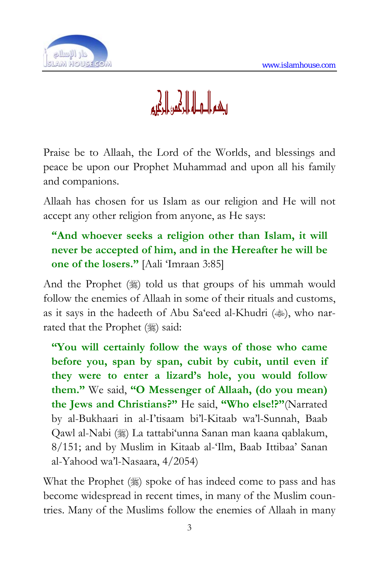

# ويكراه وكالحال أوهرا

Praise be to Allaah, the Lord of the Worlds, and blessings and peace be upon our Prophet Muhammad and upon all his family and companions.

Allaah has chosen for us Islam as our religion and He will not accept any other religion from anyone, as He says:

## **"And whoever seeks a religion other than Islam, it will never be accepted of him, and in the Hereafter he will be one of the losers."** [Aali 'Imraan 3:85]

And the Prophet  $(\frac{1}{2})$  told us that groups of his ummah would follow the enemies of Allaah in some of their rituals and customs, as it says in the hadeeth of Abu Sa'eed al-Khudri ( $\gg$ ), who narrated that the Prophet (,) said:

**"You will certainly follow the ways of those who came before you, span by span, cubit by cubit, until even if they were to enter a lizard's hole, you would follow them."** We said, **"O Messenger of Allaah, (do you mean) the Jews and Christians?"** He said, **"Who else!?"**(Narrated by al-Bukhaari in al-I'tisaam bi'l-Kitaab wa'l-Sunnah, Baab Qawl al-Nabi (1) La tattabi'unna Sanan man kaana qablakum, 8/151; and by Muslim in Kitaab al-'Ilm, Baab Ittibaa' Sanan al-Yahood wa'l-Nasaara, 4/2054)

What the Prophet (.) spoke of has indeed come to pass and has become widespread in recent times, in many of the Muslim countries. Many of the Muslims follow the enemies of Allaah in many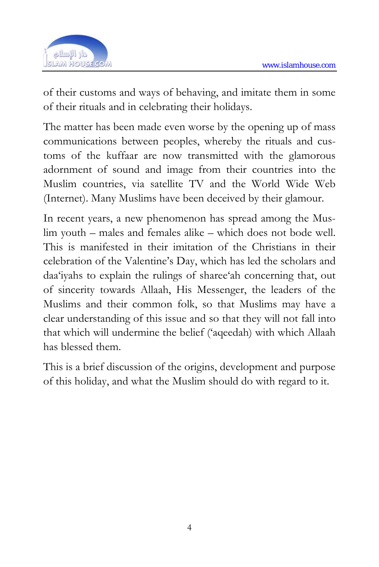

of their customs and ways of behaving, and imitate them in some of their rituals and in celebrating their holidays.

The matter has been made even worse by the opening up of mass communications between peoples, whereby the rituals and customs of the kuffaar are now transmitted with the glamorous adornment of sound and image from their countries into the Muslim countries, via satellite TV and the World Wide Web (Internet). Many Muslims have been deceived by their glamour.

In recent years, a new phenomenon has spread among the Muslim youth – males and females alike – which does not bode well. This is manifested in their imitation of the Christians in their celebration of the Valentine's Day, which has led the scholars and daa'iyahs to explain the rulings of sharee'ah concerning that, out of sincerity towards Allaah, His Messenger, the leaders of the Muslims and their common folk, so that Muslims may have a clear understanding of this issue and so that they will not fall into that which will undermine the belief ('aqeedah) with which Allaah has blessed them.

This is a brief discussion of the origins, development and purpose of this holiday, and what the Muslim should do with regard to it.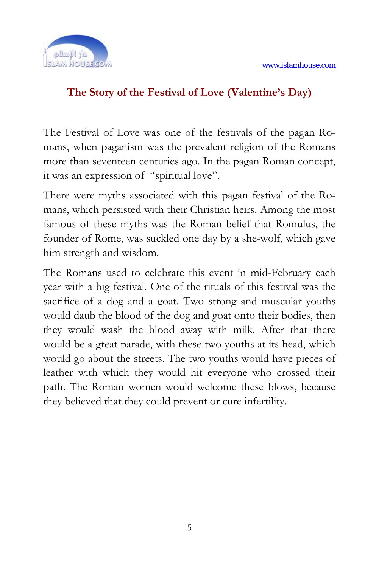

#### **The Story of the Festival of Love (Valentine's Day)**

The Festival of Love was one of the festivals of the pagan Romans, when paganism was the prevalent religion of the Romans more than seventeen centuries ago. In the pagan Roman concept, it was an expression of "spiritual love".

There were myths associated with this pagan festival of the Romans, which persisted with their Christian heirs. Among the most famous of these myths was the Roman belief that Romulus, the founder of Rome, was suckled one day by a she-wolf, which gave him strength and wisdom.

The Romans used to celebrate this event in mid-February each year with a big festival. One of the rituals of this festival was the sacrifice of a dog and a goat. Two strong and muscular youths would daub the blood of the dog and goat onto their bodies, then they would wash the blood away with milk. After that there would be a great parade, with these two youths at its head, which would go about the streets. The two youths would have pieces of leather with which they would hit everyone who crossed their path. The Roman women would welcome these blows, because they believed that they could prevent or cure infertility.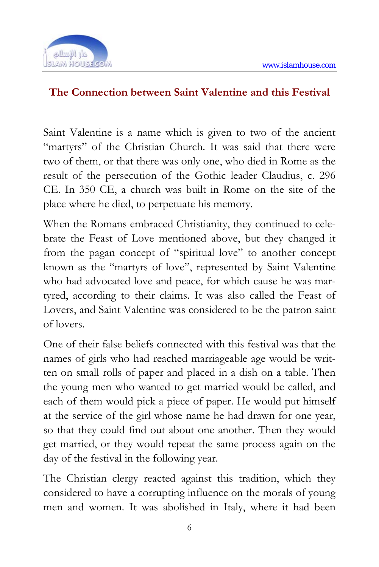

#### **The Connection between Saint Valentine and this Festival**

Saint Valentine is a name which is given to two of the ancient "martyrs" of the Christian Church. It was said that there were two of them, or that there was only one, who died in Rome as the result of the persecution of the Gothic leader Claudius, c. 296 CE. In 350 CE, a church was built in Rome on the site of the place where he died, to perpetuate his memory.

When the Romans embraced Christianity, they continued to celebrate the Feast of Love mentioned above, but they changed it from the pagan concept of "spiritual love" to another concept known as the "martyrs of love", represented by Saint Valentine who had advocated love and peace, for which cause he was martyred, according to their claims. It was also called the Feast of Lovers, and Saint Valentine was considered to be the patron saint of lovers.

One of their false beliefs connected with this festival was that the names of girls who had reached marriageable age would be written on small rolls of paper and placed in a dish on a table. Then the young men who wanted to get married would be called, and each of them would pick a piece of paper. He would put himself at the service of the girl whose name he had drawn for one year, so that they could find out about one another. Then they would get married, or they would repeat the same process again on the day of the festival in the following year.

The Christian clergy reacted against this tradition, which they considered to have a corrupting influence on the morals of young men and women. It was abolished in Italy, where it had been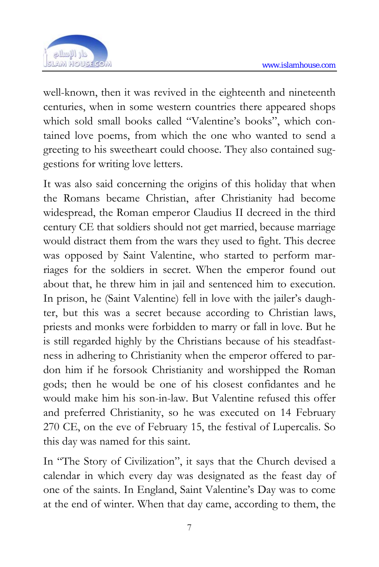

well-known, then it was revived in the eighteenth and nineteenth centuries, when in some western countries there appeared shops which sold small books called "Valentine's books", which contained love poems, from which the one who wanted to send a greeting to his sweetheart could choose. They also contained suggestions for writing love letters.

It was also said concerning the origins of this holiday that when the Romans became Christian, after Christianity had become widespread, the Roman emperor Claudius II decreed in the third century CE that soldiers should not get married, because marriage would distract them from the wars they used to fight. This decree was opposed by Saint Valentine, who started to perform marriages for the soldiers in secret. When the emperor found out about that, he threw him in jail and sentenced him to execution. In prison, he (Saint Valentine) fell in love with the jailer's daughter, but this was a secret because according to Christian laws, priests and monks were forbidden to marry or fall in love. But he is still regarded highly by the Christians because of his steadfastness in adhering to Christianity when the emperor offered to pardon him if he forsook Christianity and worshipped the Roman gods; then he would be one of his closest confidantes and he would make him his son-in-law. But Valentine refused this offer and preferred Christianity, so he was executed on 14 February 270 CE, on the eve of February 15, the festival of Lupercalis. So this day was named for this saint.

In "The Story of Civilization", it says that the Church devised a calendar in which every day was designated as the feast day of one of the saints. In England, Saint Valentine's Day was to come at the end of winter. When that day came, according to them, the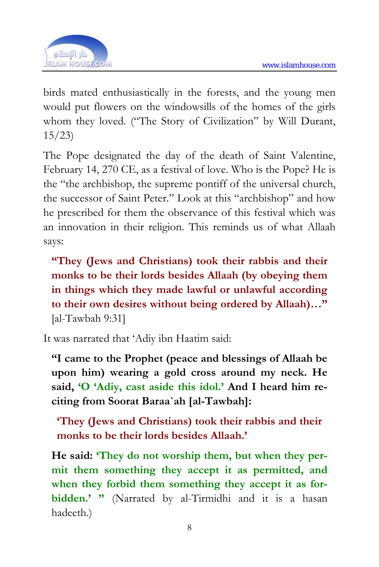

birds mated enthusiastically in the forests, and the young men would put flowers on the windowsills of the homes of the girls whom they loved. ("The Story of Civilization" by Will Durant, 15/23)

The Pope designated the day of the death of Saint Valentine, February 14, 270 CE, as a festival of love. Who is the Pope? He is the "the archbishop, the supreme pontiff of the universal church, the successor of Saint Peter." Look at this "archbishop" and how he prescribed for them the observance of this festival which was an innovation in their religion. This reminds us of what Allaah says:

**"They (Jews and Christians) took their rabbis and their monks to be their lords besides Allaah (by obeying them in things which they made lawful or unlawful according to their own desires without being ordered by Allaah)…"**  [al-Tawbah 9:31]

It was narrated that 'Adiy ibn Haatim said:

**"I came to the Prophet (peace and blessings of Allaah be upon him) wearing a gold cross around my neck. He said, 'O 'Adiy, cast aside this idol.' And I heard him reciting from Soorat Baraa`ah [al-Tawbah]:** 

**'They (Jews and Christians) took their rabbis and their monks to be their lords besides Allaah.'** 

**He said: 'They do not worship them, but when they permit them something they accept it as permitted, and when they forbid them something they accept it as forbidden.' "** (Narrated by al-Tirmidhi and it is a hasan hadeeth.)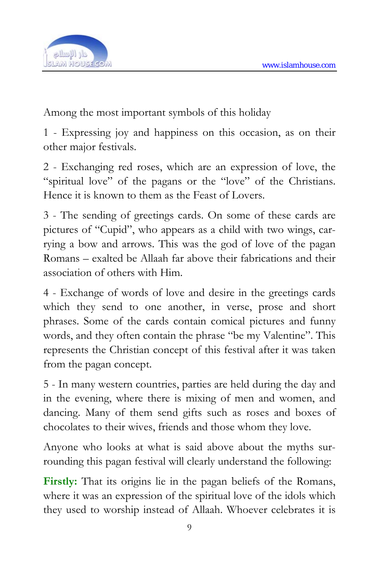

Among the most important symbols of this holiday

1 - Expressing joy and happiness on this occasion, as on their other major festivals.

2 - Exchanging red roses, which are an expression of love, the "spiritual love" of the pagans or the "love" of the Christians. Hence it is known to them as the Feast of Lovers.

3 - The sending of greetings cards. On some of these cards are pictures of "Cupid", who appears as a child with two wings, carrying a bow and arrows. This was the god of love of the pagan Romans – exalted be Allaah far above their fabrications and their association of others with Him.

4 - Exchange of words of love and desire in the greetings cards which they send to one another, in verse, prose and short phrases. Some of the cards contain comical pictures and funny words, and they often contain the phrase "be my Valentine". This represents the Christian concept of this festival after it was taken from the pagan concept.

5 - In many western countries, parties are held during the day and in the evening, where there is mixing of men and women, and dancing. Many of them send gifts such as roses and boxes of chocolates to their wives, friends and those whom they love.

Anyone who looks at what is said above about the myths surrounding this pagan festival will clearly understand the following:

**Firstly:** That its origins lie in the pagan beliefs of the Romans, where it was an expression of the spiritual love of the idols which they used to worship instead of Allaah. Whoever celebrates it is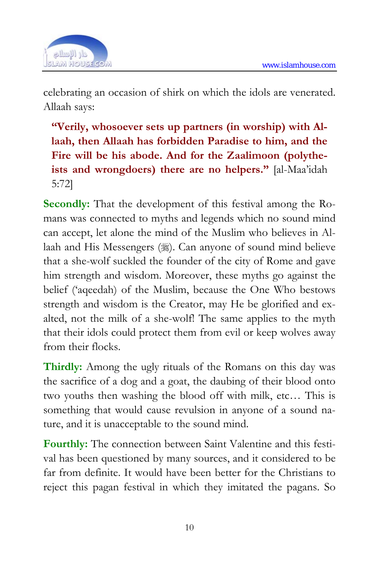

celebrating an occasion of shirk on which the idols are venerated. Allaah says:

**"Verily, whosoever sets up partners (in worship) with Allaah, then Allaah has forbidden Paradise to him, and the Fire will be his abode. And for the Zaalimoon (polytheists and wrongdoers) there are no helpers."** [al-Maa'idah 5:72]

**Secondly:** That the development of this festival among the Romans was connected to myths and legends which no sound mind can accept, let alone the mind of the Muslim who believes in Allaah and His Messengers (1). Can anyone of sound mind believe that a she-wolf suckled the founder of the city of Rome and gave him strength and wisdom. Moreover, these myths go against the belief ('aqeedah) of the Muslim, because the One Who bestows strength and wisdom is the Creator, may He be glorified and exalted, not the milk of a she-wolf! The same applies to the myth that their idols could protect them from evil or keep wolves away from their flocks.

**Thirdly:** Among the ugly rituals of the Romans on this day was the sacrifice of a dog and a goat, the daubing of their blood onto two youths then washing the blood off with milk, etc… This is something that would cause revulsion in anyone of a sound nature, and it is unacceptable to the sound mind.

**Fourthly:** The connection between Saint Valentine and this festival has been questioned by many sources, and it considered to be far from definite. It would have been better for the Christians to reject this pagan festival in which they imitated the pagans. So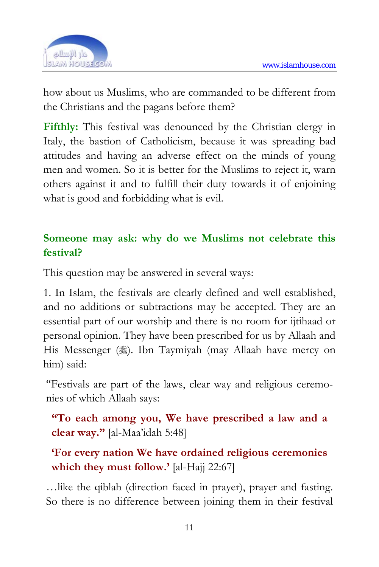

how about us Muslims, who are commanded to be different from the Christians and the pagans before them?

**Fifthly:** This festival was denounced by the Christian clergy in Italy, the bastion of Catholicism, because it was spreading bad attitudes and having an adverse effect on the minds of young men and women. So it is better for the Muslims to reject it, warn others against it and to fulfill their duty towards it of enjoining what is good and forbidding what is evil.

#### **Someone may ask: why do we Muslims not celebrate this festival?**

This question may be answered in several ways:

1. In Islam, the festivals are clearly defined and well established, and no additions or subtractions may be accepted. They are an essential part of our worship and there is no room for ijtihaad or personal opinion. They have been prescribed for us by Allaah and His Messenger (3). Ibn Taymiyah (may Allaah have mercy on him) said:

"Festivals are part of the laws, clear way and religious ceremonies of which Allaah says:

**"To each among you, We have prescribed a law and a clear way."** [al-Maa'idah 5:48]

**'For every nation We have ordained religious ceremonies which they must follow.'** [al-Hajj 22:67]

…like the qiblah (direction faced in prayer), prayer and fasting. So there is no difference between joining them in their festival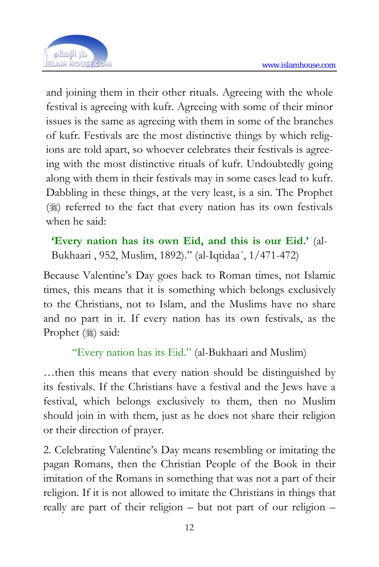

and joining them in their other rituals. Agreeing with the whole festival is agreeing with kufr. Agreeing with some of their minor issues is the same as agreeing with them in some of the branches of kufr. Festivals are the most distinctive things by which religions are told apart, so whoever celebrates their festivals is agreeing with the most distinctive rituals of kufr. Undoubtedly going along with them in their festivals may in some cases lead to kufr. Dabbling in these things, at the very least, is a sin. The Prophet ( $\frac{1}{2}$ ) referred to the fact that every nation has its own festivals when he said:

**'Every nation has its own Eid, and this is our Eid.'** (al-Bukhaari , 952, Muslim, 1892)." (al-Iqtidaa´, 1/471-472)

Because Valentine's Day goes back to Roman times, not Islamic times, this means that it is something which belongs exclusively to the Christians, not to Islam, and the Muslims have no share and no part in it. If every nation has its own festivals, as the Prophet (:) said:

"Every nation has its Eid." (al-Bukhaari and Muslim)

…then this means that every nation should be distinguished by its festivals. If the Christians have a festival and the Jews have a festival, which belongs exclusively to them, then no Muslim should join in with them, just as he does not share their religion or their direction of prayer.

2. Celebrating Valentine's Day means resembling or imitating the pagan Romans, then the Christian People of the Book in their imitation of the Romans in something that was not a part of their religion. If it is not allowed to imitate the Christians in things that really are part of their religion – but not part of our religion –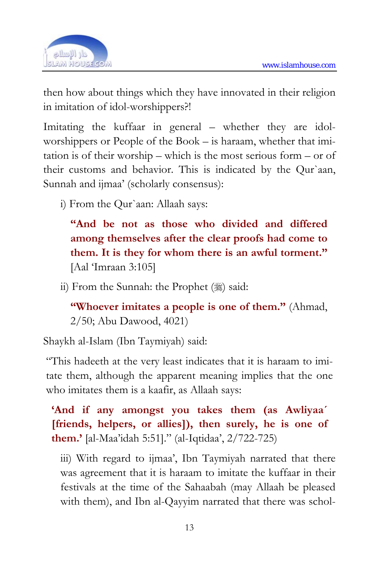

then how about things which they have innovated in their religion in imitation of idol-worshippers?!

Imitating the kuffaar in general – whether they are idolworshippers or People of the Book – is haraam, whether that imitation is of their worship – which is the most serious form – or of their customs and behavior. This is indicated by the Qur`aan, Sunnah and ijmaa' (scholarly consensus):

i) From the Qur`aan: Allaah says:

**"And be not as those who divided and differed among themselves after the clear proofs had come to them. It is they for whom there is an awful torment."** [Aal 'Imraan 3:105]

ii) From the Sunnah: the Prophet  $(\frac{1}{2})$  said:

**"Whoever imitates a people is one of them."** (Ahmad, 2/50; Abu Dawood, 4021)

Shaykh al-Islam (Ibn Taymiyah) said:

"This hadeeth at the very least indicates that it is haraam to imitate them, although the apparent meaning implies that the one who imitates them is a kaafir, as Allaah says:

**'And if any amongst you takes them (as Awliyaa´ [friends, helpers, or allies]), then surely, he is one of them.'** [al-Maa'idah 5:51]." (al-Iqtidaa', 2/722-725)

iii) With regard to ijmaa', Ibn Taymiyah narrated that there was agreement that it is haraam to imitate the kuffaar in their festivals at the time of the Sahaabah (may Allaah be pleased with them), and Ibn al-Qayyim narrated that there was schol-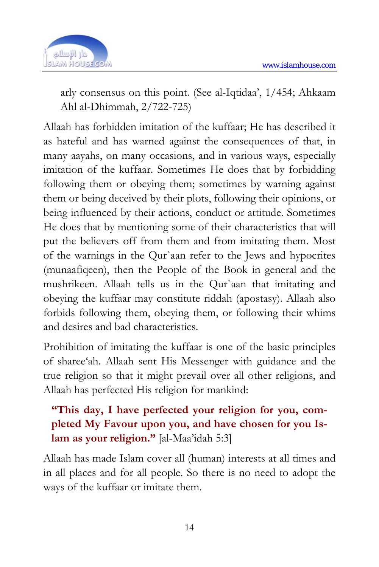

arly consensus on this point. (See al-Iqtidaa', 1/454; Ahkaam Ahl al-Dhimmah, 2/722-725)

Allaah has forbidden imitation of the kuffaar; He has described it as hateful and has warned against the consequences of that, in many aayahs, on many occasions, and in various ways, especially imitation of the kuffaar. Sometimes He does that by forbidding following them or obeying them; sometimes by warning against them or being deceived by their plots, following their opinions, or being influenced by their actions, conduct or attitude. Sometimes He does that by mentioning some of their characteristics that will put the believers off from them and from imitating them. Most of the warnings in the Qur`aan refer to the Jews and hypocrites (munaafiqeen), then the People of the Book in general and the mushrikeen. Allaah tells us in the Qur`aan that imitating and obeying the kuffaar may constitute riddah (apostasy). Allaah also forbids following them, obeying them, or following their whims and desires and bad characteristics.

Prohibition of imitating the kuffaar is one of the basic principles of sharee'ah. Allaah sent His Messenger with guidance and the true religion so that it might prevail over all other religions, and Allaah has perfected His religion for mankind:

### **"This day, I have perfected your religion for you, completed My Favour upon you, and have chosen for you Islam as your religion."** [al-Maa'idah 5:3]

Allaah has made Islam cover all (human) interests at all times and in all places and for all people. So there is no need to adopt the ways of the kuffaar or imitate them.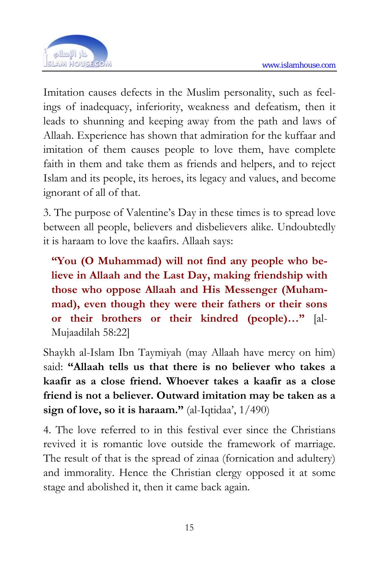

Imitation causes defects in the Muslim personality, such as feelings of inadequacy, inferiority, weakness and defeatism, then it leads to shunning and keeping away from the path and laws of Allaah. Experience has shown that admiration for the kuffaar and imitation of them causes people to love them, have complete faith in them and take them as friends and helpers, and to reject Islam and its people, its heroes, its legacy and values, and become ignorant of all of that.

3. The purpose of Valentine's Day in these times is to spread love between all people, believers and disbelievers alike. Undoubtedly it is haraam to love the kaafirs. Allaah says:

**"You (O Muhammad) will not find any people who believe in Allaah and the Last Day, making friendship with those who oppose Allaah and His Messenger (Muhammad), even though they were their fathers or their sons or their brothers or their kindred (people)…"** [al-Mujaadilah 58:22]

Shaykh al-Islam Ibn Taymiyah (may Allaah have mercy on him) said: **"Allaah tells us that there is no believer who takes a kaafir as a close friend. Whoever takes a kaafir as a close friend is not a believer. Outward imitation may be taken as a sign of love, so it is haraam."** (al-Iqtidaa', 1/490)

4. The love referred to in this festival ever since the Christians revived it is romantic love outside the framework of marriage. The result of that is the spread of zinaa (fornication and adultery) and immorality. Hence the Christian clergy opposed it at some stage and abolished it, then it came back again.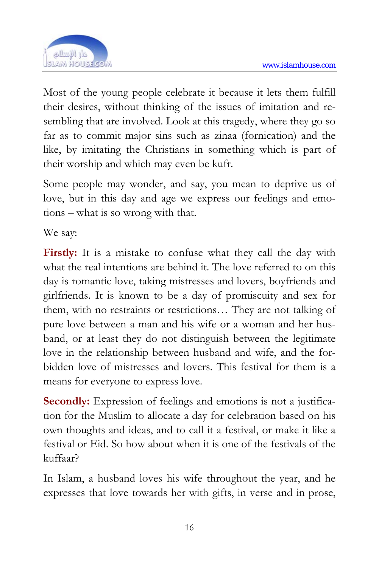

Most of the young people celebrate it because it lets them fulfill their desires, without thinking of the issues of imitation and resembling that are involved. Look at this tragedy, where they go so far as to commit major sins such as zinaa (fornication) and the like, by imitating the Christians in something which is part of their worship and which may even be kufr.

Some people may wonder, and say, you mean to deprive us of love, but in this day and age we express our feelings and emotions – what is so wrong with that.

We say:

**Firstly:** It is a mistake to confuse what they call the day with what the real intentions are behind it. The love referred to on this day is romantic love, taking mistresses and lovers, boyfriends and girlfriends. It is known to be a day of promiscuity and sex for them, with no restraints or restrictions… They are not talking of pure love between a man and his wife or a woman and her husband, or at least they do not distinguish between the legitimate love in the relationship between husband and wife, and the forbidden love of mistresses and lovers. This festival for them is a means for everyone to express love.

**Secondly:** Expression of feelings and emotions is not a justification for the Muslim to allocate a day for celebration based on his own thoughts and ideas, and to call it a festival, or make it like a festival or Eid. So how about when it is one of the festivals of the kuffaar?

In Islam, a husband loves his wife throughout the year, and he expresses that love towards her with gifts, in verse and in prose,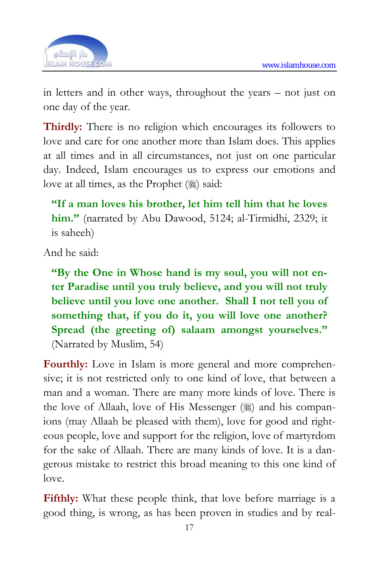

in letters and in other ways, throughout the years – not just on one day of the year.

**Thirdly:** There is no religion which encourages its followers to love and care for one another more than Islam does. This applies at all times and in all circumstances, not just on one particular day. Indeed, Islam encourages us to express our emotions and love at all times, as the Prophet (,) said:

**"If a man loves his brother, let him tell him that he loves him."** (narrated by Abu Dawood, 5124; al-Tirmidhi, 2329; it is saheeh)

And he said:

**"By the One in Whose hand is my soul, you will not enter Paradise until you truly believe, and you will not truly believe until you love one another. Shall I not tell you of something that, if you do it, you will love one another? Spread (the greeting of) salaam amongst yourselves."**  (Narrated by Muslim, 54)

Fourthly: Love in Islam is more general and more comprehensive; it is not restricted only to one kind of love, that between a man and a woman. There are many more kinds of love. There is the love of Allaah, love of His Messenger  $(\frac{1}{2})$  and his companions (may Allaah be pleased with them), love for good and righteous people, love and support for the religion, love of martyrdom for the sake of Allaah. There are many kinds of love. It is a dangerous mistake to restrict this broad meaning to this one kind of love.

**Fifthly:** What these people think, that love before marriage is a good thing, is wrong, as has been proven in studies and by real-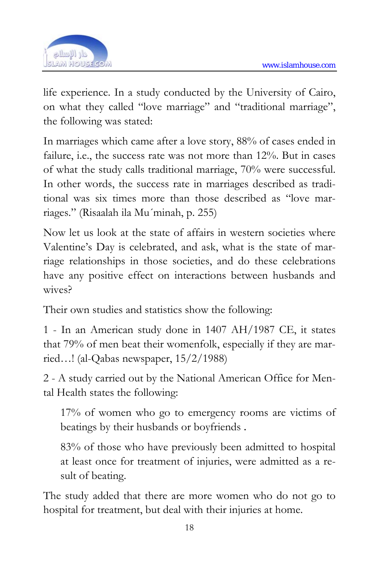

life experience. In a study conducted by the University of Cairo, on what they called "love marriage" and "traditional marriage", the following was stated:

In marriages which came after a love story, 88% of cases ended in failure, i.e., the success rate was not more than 12%. But in cases of what the study calls traditional marriage, 70% were successful. In other words, the success rate in marriages described as traditional was six times more than those described as "love marriages." (Risaalah ila Mu´minah, p. 255)

Now let us look at the state of affairs in western societies where Valentine's Day is celebrated, and ask, what is the state of marriage relationships in those societies, and do these celebrations have any positive effect on interactions between husbands and wives?

Their own studies and statistics show the following:

1 - In an American study done in 1407 AH/1987 CE, it states that 79% of men beat their womenfolk, especially if they are married…! (al-Qabas newspaper, 15/2/1988)

2 - A study carried out by the National American Office for Mental Health states the following:

17% of women who go to emergency rooms are victims of beatings by their husbands or boyfriends .

83% of those who have previously been admitted to hospital at least once for treatment of injuries, were admitted as a result of beating.

The study added that there are more women who do not go to hospital for treatment, but deal with their injuries at home.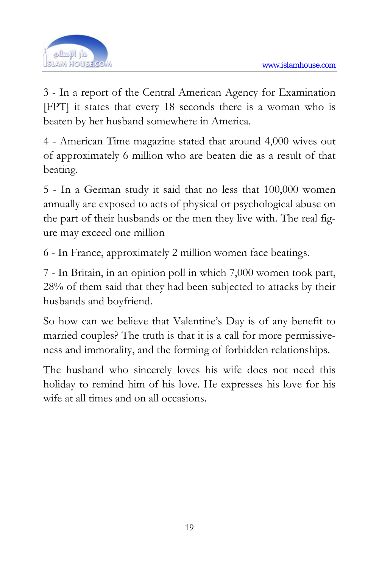

3 - In a report of the Central American Agency for Examination [FPT] it states that every 18 seconds there is a woman who is beaten by her husband somewhere in America.

4 - American Time magazine stated that around 4,000 wives out of approximately 6 million who are beaten die as a result of that beating.

5 - In a German study it said that no less that 100,000 women annually are exposed to acts of physical or psychological abuse on the part of their husbands or the men they live with. The real figure may exceed one million

6 - In France, approximately 2 million women face beatings.

7 - In Britain, in an opinion poll in which 7,000 women took part, 28% of them said that they had been subjected to attacks by their husbands and boyfriend.

So how can we believe that Valentine's Day is of any benefit to married couples? The truth is that it is a call for more permissiveness and immorality, and the forming of forbidden relationships.

The husband who sincerely loves his wife does not need this holiday to remind him of his love. He expresses his love for his wife at all times and on all occasions.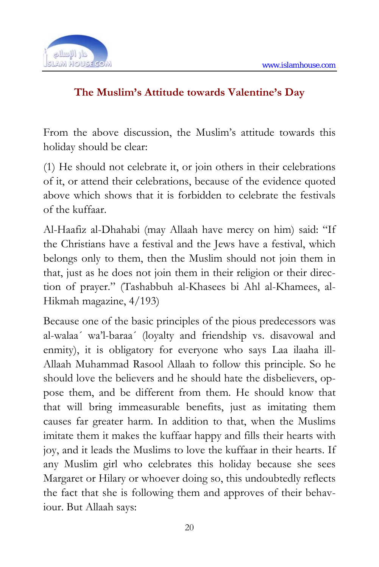

#### **The Muslim's Attitude towards Valentine's Day**

From the above discussion, the Muslim's attitude towards this holiday should be clear:

(1) He should not celebrate it, or join others in their celebrations of it, or attend their celebrations, because of the evidence quoted above which shows that it is forbidden to celebrate the festivals of the kuffaar.

Al-Haafiz al-Dhahabi (may Allaah have mercy on him) said: "If the Christians have a festival and the Jews have a festival, which belongs only to them, then the Muslim should not join them in that, just as he does not join them in their religion or their direction of prayer." (Tashabbuh al-Khasees bi Ahl al-Khamees, al-Hikmah magazine, 4/193)

Because one of the basic principles of the pious predecessors was al-walaa´ wa'l-baraa´ (loyalty and friendship vs. disavowal and enmity), it is obligatory for everyone who says Laa ilaaha ill-Allaah Muhammad Rasool Allaah to follow this principle. So he should love the believers and he should hate the disbelievers, oppose them, and be different from them. He should know that that will bring immeasurable benefits, just as imitating them causes far greater harm. In addition to that, when the Muslims imitate them it makes the kuffaar happy and fills their hearts with joy, and it leads the Muslims to love the kuffaar in their hearts. If any Muslim girl who celebrates this holiday because she sees Margaret or Hilary or whoever doing so, this undoubtedly reflects the fact that she is following them and approves of their behaviour. But Allaah says: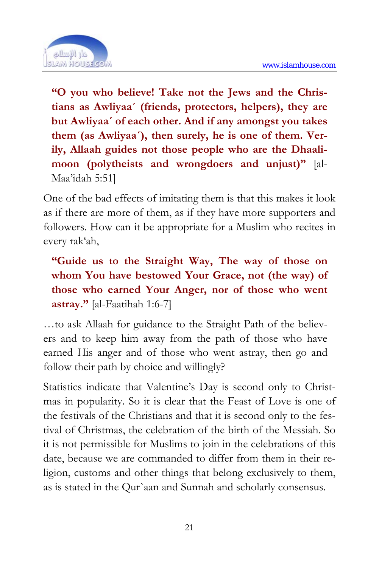

**"O you who believe! Take not the Jews and the Christians as Awliyaa´ (friends, protectors, helpers), they are but Awliyaa´ of each other. And if any amongst you takes them (as Awliyaa´), then surely, he is one of them. Verily, Allaah guides not those people who are the Dhaalimoon (polytheists and wrongdoers and unjust)"** [al-Maa'idah 5:51]

One of the bad effects of imitating them is that this makes it look as if there are more of them, as if they have more supporters and followers. How can it be appropriate for a Muslim who recites in every rak'ah,

**"Guide us to the Straight Way, The way of those on whom You have bestowed Your Grace, not (the way) of those who earned Your Anger, nor of those who went astray."** [al-Faatihah 1:6-7]

…to ask Allaah for guidance to the Straight Path of the believers and to keep him away from the path of those who have earned His anger and of those who went astray, then go and follow their path by choice and willingly?

Statistics indicate that Valentine's Day is second only to Christmas in popularity. So it is clear that the Feast of Love is one of the festivals of the Christians and that it is second only to the festival of Christmas, the celebration of the birth of the Messiah. So it is not permissible for Muslims to join in the celebrations of this date, because we are commanded to differ from them in their religion, customs and other things that belong exclusively to them, as is stated in the Qur`aan and Sunnah and scholarly consensus.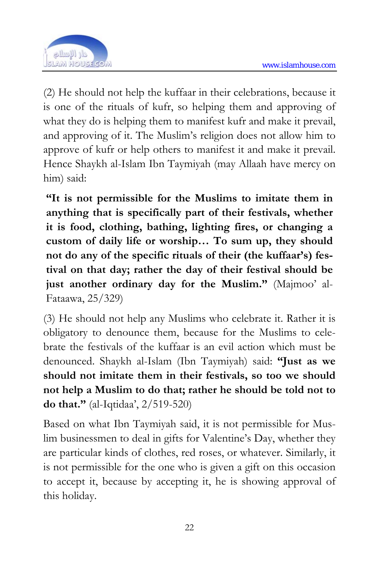

(2) He should not help the kuffaar in their celebrations, because it is one of the rituals of kufr, so helping them and approving of what they do is helping them to manifest kufr and make it prevail, and approving of it. The Muslim's religion does not allow him to approve of kufr or help others to manifest it and make it prevail. Hence Shaykh al-Islam Ibn Taymiyah (may Allaah have mercy on him) said:

**"It is not permissible for the Muslims to imitate them in anything that is specifically part of their festivals, whether it is food, clothing, bathing, lighting fires, or changing a custom of daily life or worship… To sum up, they should not do any of the specific rituals of their (the kuffaar's) festival on that day; rather the day of their festival should be just another ordinary day for the Muslim."** (Majmoo' al-Fataawa, 25/329)

(3) He should not help any Muslims who celebrate it. Rather it is obligatory to denounce them, because for the Muslims to celebrate the festivals of the kuffaar is an evil action which must be denounced. Shaykh al-Islam (Ibn Taymiyah) said: **"Just as we should not imitate them in their festivals, so too we should not help a Muslim to do that; rather he should be told not to do that."** (al-Iqtidaa', 2/519-520)

Based on what Ibn Taymiyah said, it is not permissible for Muslim businessmen to deal in gifts for Valentine's Day, whether they are particular kinds of clothes, red roses, or whatever. Similarly, it is not permissible for the one who is given a gift on this occasion to accept it, because by accepting it, he is showing approval of this holiday.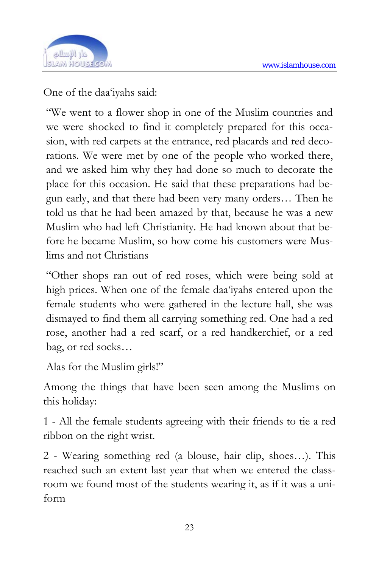

One of the daa'iyahs said:

"We went to a flower shop in one of the Muslim countries and we were shocked to find it completely prepared for this occasion, with red carpets at the entrance, red placards and red decorations. We were met by one of the people who worked there, and we asked him why they had done so much to decorate the place for this occasion. He said that these preparations had begun early, and that there had been very many orders… Then he told us that he had been amazed by that, because he was a new Muslim who had left Christianity. He had known about that before he became Muslim, so how come his customers were Muslims and not Christians

"Other shops ran out of red roses, which were being sold at high prices. When one of the female daa'iyahs entered upon the female students who were gathered in the lecture hall, she was dismayed to find them all carrying something red. One had a red rose, another had a red scarf, or a red handkerchief, or a red bag, or red socks…

Alas for the Muslim girls!"

Among the things that have been seen among the Muslims on this holiday:

1 - All the female students agreeing with their friends to tie a red ribbon on the right wrist.

2 - Wearing something red (a blouse, hair clip, shoes…). This reached such an extent last year that when we entered the classroom we found most of the students wearing it, as if it was a uniform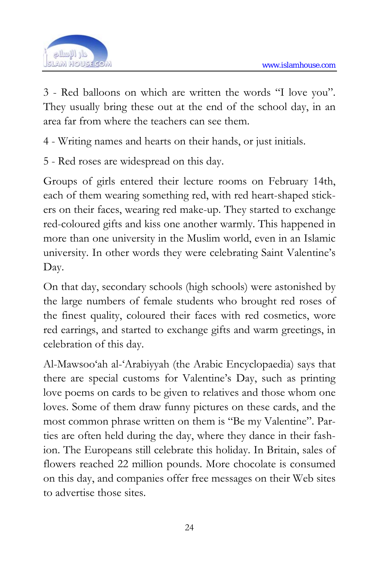

3 - Red balloons on which are written the words "I love you". They usually bring these out at the end of the school day, in an area far from where the teachers can see them.

4 - Writing names and hearts on their hands, or just initials.

5 - Red roses are widespread on this day.

Groups of girls entered their lecture rooms on February 14th, each of them wearing something red, with red heart-shaped stickers on their faces, wearing red make-up. They started to exchange red-coloured gifts and kiss one another warmly. This happened in more than one university in the Muslim world, even in an Islamic university. In other words they were celebrating Saint Valentine's Day.

On that day, secondary schools (high schools) were astonished by the large numbers of female students who brought red roses of the finest quality, coloured their faces with red cosmetics, wore red earrings, and started to exchange gifts and warm greetings, in celebration of this day.

Al-Mawsoo'ah al-'Arabiyyah (the Arabic Encyclopaedia) says that there are special customs for Valentine's Day, such as printing love poems on cards to be given to relatives and those whom one loves. Some of them draw funny pictures on these cards, and the most common phrase written on them is "Be my Valentine". Parties are often held during the day, where they dance in their fashion. The Europeans still celebrate this holiday. In Britain, sales of flowers reached 22 million pounds. More chocolate is consumed on this day, and companies offer free messages on their Web sites to advertise those sites.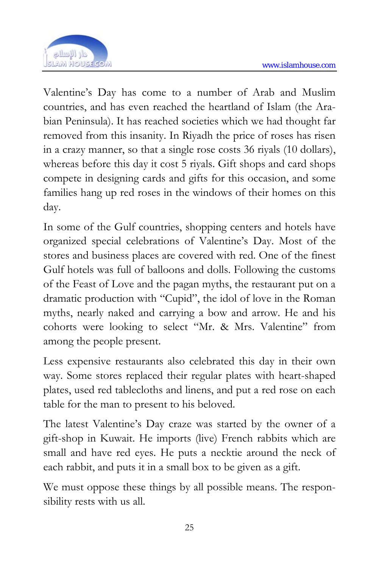

Valentine's Day has come to a number of Arab and Muslim countries, and has even reached the heartland of Islam (the Arabian Peninsula). It has reached societies which we had thought far removed from this insanity. In Riyadh the price of roses has risen in a crazy manner, so that a single rose costs 36 riyals (10 dollars), whereas before this day it cost 5 riyals. Gift shops and card shops compete in designing cards and gifts for this occasion, and some families hang up red roses in the windows of their homes on this day.

In some of the Gulf countries, shopping centers and hotels have organized special celebrations of Valentine's Day. Most of the stores and business places are covered with red. One of the finest Gulf hotels was full of balloons and dolls. Following the customs of the Feast of Love and the pagan myths, the restaurant put on a dramatic production with "Cupid", the idol of love in the Roman myths, nearly naked and carrying a bow and arrow. He and his cohorts were looking to select "Mr. & Mrs. Valentine" from among the people present.

Less expensive restaurants also celebrated this day in their own way. Some stores replaced their regular plates with heart-shaped plates, used red tablecloths and linens, and put a red rose on each table for the man to present to his beloved.

The latest Valentine's Day craze was started by the owner of a gift-shop in Kuwait. He imports (live) French rabbits which are small and have red eyes. He puts a necktie around the neck of each rabbit, and puts it in a small box to be given as a gift.

We must oppose these things by all possible means. The responsibility rests with us all.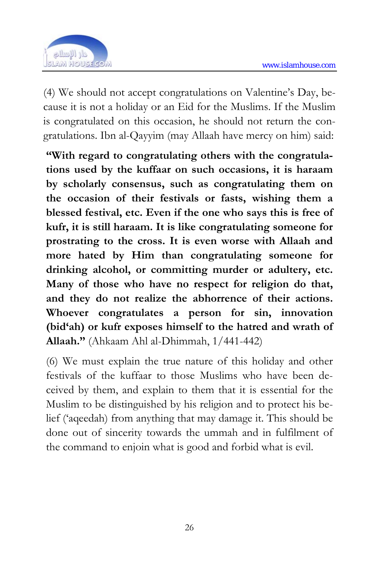

(4) We should not accept congratulations on Valentine's Day, because it is not a holiday or an Eid for the Muslims. If the Muslim is congratulated on this occasion, he should not return the congratulations. Ibn al-Qayyim (may Allaah have mercy on him) said:

**"With regard to congratulating others with the congratulations used by the kuffaar on such occasions, it is haraam by scholarly consensus, such as congratulating them on the occasion of their festivals or fasts, wishing them a blessed festival, etc. Even if the one who says this is free of kufr, it is still haraam. It is like congratulating someone for prostrating to the cross. It is even worse with Allaah and more hated by Him than congratulating someone for drinking alcohol, or committing murder or adultery, etc. Many of those who have no respect for religion do that, and they do not realize the abhorrence of their actions. Whoever congratulates a person for sin, innovation (bid'ah) or kufr exposes himself to the hatred and wrath of Allaah."** (Ahkaam Ahl al-Dhimmah, 1/441-442)

(6) We must explain the true nature of this holiday and other festivals of the kuffaar to those Muslims who have been deceived by them, and explain to them that it is essential for the Muslim to be distinguished by his religion and to protect his belief ('aqeedah) from anything that may damage it. This should be done out of sincerity towards the ummah and in fulfilment of the command to enjoin what is good and forbid what is evil.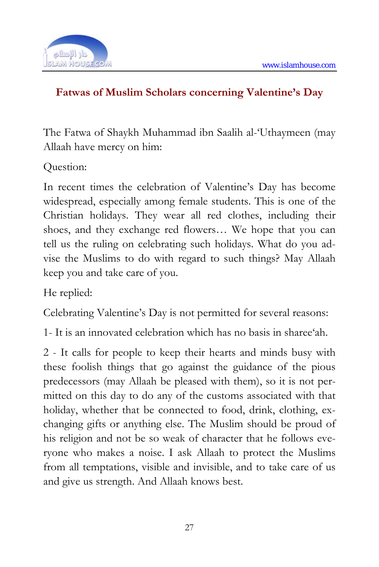

#### **Fatwas of Muslim Scholars concerning Valentine's Day**

The Fatwa of Shaykh Muhammad ibn Saalih al-'Uthaymeen (may Allaah have mercy on him:

Question:

In recent times the celebration of Valentine's Day has become widespread, especially among female students. This is one of the Christian holidays. They wear all red clothes, including their shoes, and they exchange red flowers… We hope that you can tell us the ruling on celebrating such holidays. What do you advise the Muslims to do with regard to such things? May Allaah keep you and take care of you.

He replied:

Celebrating Valentine's Day is not permitted for several reasons:

1- It is an innovated celebration which has no basis in sharee'ah.

2 - It calls for people to keep their hearts and minds busy with these foolish things that go against the guidance of the pious predecessors (may Allaah be pleased with them), so it is not permitted on this day to do any of the customs associated with that holiday, whether that be connected to food, drink, clothing, exchanging gifts or anything else. The Muslim should be proud of his religion and not be so weak of character that he follows everyone who makes a noise. I ask Allaah to protect the Muslims from all temptations, visible and invisible, and to take care of us and give us strength. And Allaah knows best.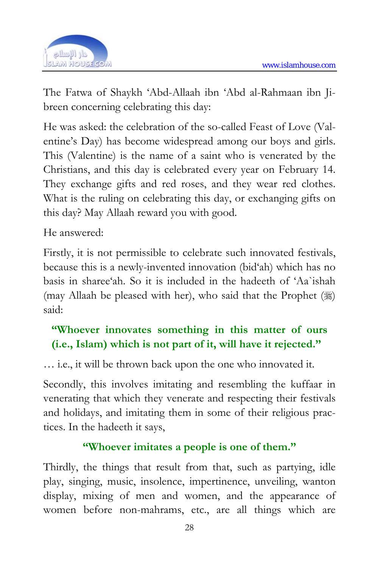

The Fatwa of Shaykh 'Abd-Allaah ibn 'Abd al-Rahmaan ibn Jibreen concerning celebrating this day:

He was asked: the celebration of the so-called Feast of Love (Valentine's Day) has become widespread among our boys and girls. This (Valentine) is the name of a saint who is venerated by the Christians, and this day is celebrated every year on February 14. They exchange gifts and red roses, and they wear red clothes. What is the ruling on celebrating this day, or exchanging gifts on this day? May Allaah reward you with good.

He answered:

Firstly, it is not permissible to celebrate such innovated festivals, because this is a newly-invented innovation (bid'ah) which has no basis in sharee'ah. So it is included in the hadeeth of 'Aa`ishah (may Allaah be pleased with her), who said that the Prophet  $(\frac{1}{2})$ said:

### **"Whoever innovates something in this matter of ours (i.e., Islam) which is not part of it, will have it rejected."**

… i.e., it will be thrown back upon the one who innovated it.

Secondly, this involves imitating and resembling the kuffaar in venerating that which they venerate and respecting their festivals and holidays, and imitating them in some of their religious practices. In the hadeeth it says,

#### **"Whoever imitates a people is one of them."**

Thirdly, the things that result from that, such as partying, idle play, singing, music, insolence, impertinence, unveiling, wanton display, mixing of men and women, and the appearance of women before non-mahrams, etc., are all things which are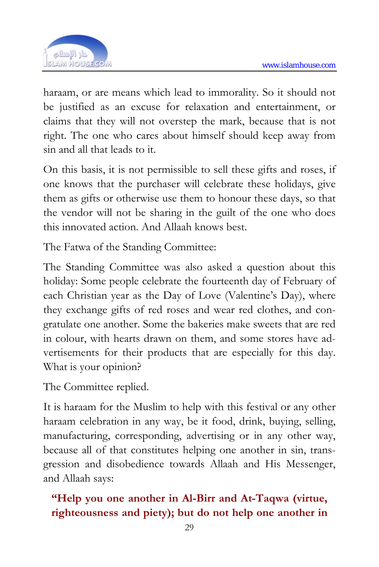

haraam, or are means which lead to immorality. So it should not be justified as an excuse for relaxation and entertainment, or claims that they will not overstep the mark, because that is not right. The one who cares about himself should keep away from sin and all that leads to it.

On this basis, it is not permissible to sell these gifts and roses, if one knows that the purchaser will celebrate these holidays, give them as gifts or otherwise use them to honour these days, so that the vendor will not be sharing in the guilt of the one who does this innovated action. And Allaah knows best.

The Fatwa of the Standing Committee:

The Standing Committee was also asked a question about this holiday: Some people celebrate the fourteenth day of February of each Christian year as the Day of Love (Valentine's Day), where they exchange gifts of red roses and wear red clothes, and congratulate one another. Some the bakeries make sweets that are red in colour, with hearts drawn on them, and some stores have advertisements for their products that are especially for this day. What is your opinion?

The Committee replied.

It is haraam for the Muslim to help with this festival or any other haraam celebration in any way, be it food, drink, buying, selling, manufacturing, corresponding, advertising or in any other way, because all of that constitutes helping one another in sin, transgression and disobedience towards Allaah and His Messenger, and Allaah says:

### **"Help you one another in Al-Birr and At-Taqwa (virtue, righteousness and piety); but do not help one another in**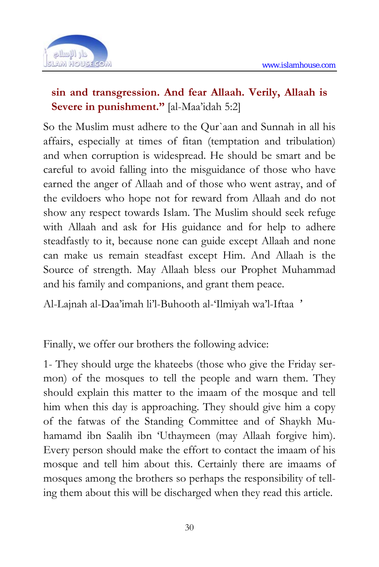

#### **sin and transgression. And fear Allaah. Verily, Allaah is Severe in punishment."** [al-Maa'idah 5:2]

So the Muslim must adhere to the Qur`aan and Sunnah in all his affairs, especially at times of fitan (temptation and tribulation) and when corruption is widespread. He should be smart and be careful to avoid falling into the misguidance of those who have earned the anger of Allaah and of those who went astray, and of the evildoers who hope not for reward from Allaah and do not show any respect towards Islam. The Muslim should seek refuge with Allaah and ask for His guidance and for help to adhere steadfastly to it, because none can guide except Allaah and none can make us remain steadfast except Him. And Allaah is the Source of strength. May Allaah bless our Prophet Muhammad and his family and companions, and grant them peace.

Al-Lajnah al-Daa'imah li'l-Buhooth al-'Ilmiyah wa'l-Iftaa '

Finally, we offer our brothers the following advice:

1- They should urge the khateebs (those who give the Friday sermon) of the mosques to tell the people and warn them. They should explain this matter to the imaam of the mosque and tell him when this day is approaching. They should give him a copy of the fatwas of the Standing Committee and of Shaykh Muhamamd ibn Saalih ibn 'Uthaymeen (may Allaah forgive him). Every person should make the effort to contact the imaam of his mosque and tell him about this. Certainly there are imaams of mosques among the brothers so perhaps the responsibility of telling them about this will be discharged when they read this article.